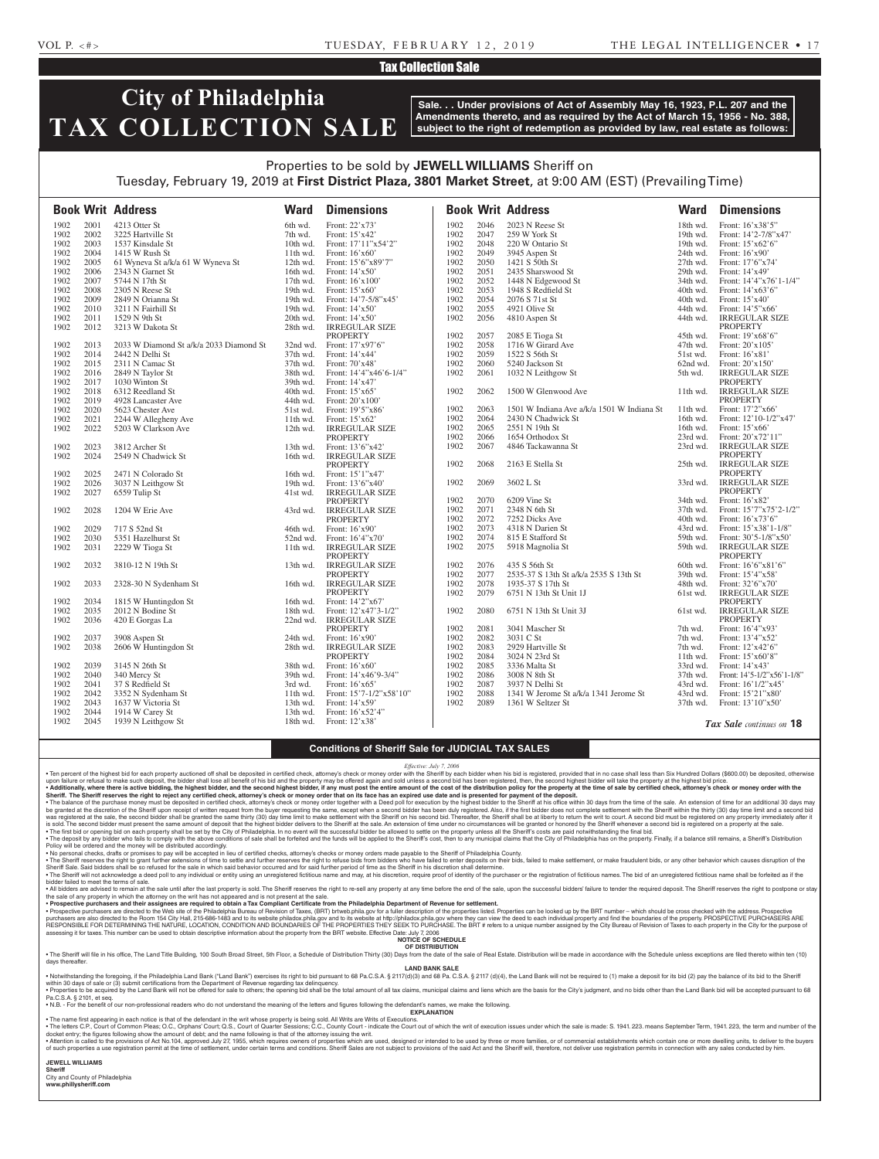#### VOL P. <#> TUESDAY, FEBRUARY 12, 2019 THE LEGAL INTELLIGENCER • 17

### Tax Collection Sale

# **City of Philadelphia TAX COLLECTION SALE**

**Sale. . . Under provisions of Act of Assembly May 16, 1923, P.L. 207 and the Amendments thereto, and as required by the Act of March 15, 1956 - No. 388, subject to the right of redemption as provided by law, real estate as follows:**

## Properties to be sold by **JEWELL WILLIAMS** Sheriff on Tuesday, February 19, 2019 at **First District Plaza, 3801 Market Street**, at 9:00 AM (EST) (Prevailing Time)

|      |      | <b>Book Writ Address</b>                    | <b>Ward</b> | <b>Dimensions</b>          |      |      | <b>Book Writ Address</b>                   | <b>Ward</b> | <b>Dimensions</b>          |
|------|------|---------------------------------------------|-------------|----------------------------|------|------|--------------------------------------------|-------------|----------------------------|
| 1902 | 2001 | 4213 Otter St                               | 6th wd.     | Front: 22'x73'             | 1902 | 2046 | 2023 N Reese St                            | 18th wd.    | Front: 16'x38'5"           |
| 1902 | 2002 | 3225 Hartville St                           | 7th wd.     | Front: 15'x42'             | 1902 | 2047 | 259 W York St                              | 19th wd.    | Front: 14'2-7/8"x47"       |
| 1902 | 2003 | 1537 Kinsdale St                            | 10th wd.    | Front: 17'11"x54'2"        | 1902 | 2048 | 220 W Ontario St                           | 19th wd.    | Front: 15'x62'6"           |
| 1902 | 2004 | 1415 W Rush St                              | 11th wd.    | Front: $16'x60'$           | 1902 | 2049 | 3945 Aspen St                              | 24th wd.    | Front: 16'x90'             |
| 1902 | 2005 | 61 Wyneva St a/k/a 61 W Wyneva St           | 12th wd.    | Front: 15'6"x89'7"         | 1902 | 2050 | 1421 S 50th St                             | $27th$ wd.  | Front: 17'6"x74'           |
| 1902 | 2006 | 2343 N Garnet St                            | 16th wd.    | Front: $14'x50'$           | 1902 | 2051 | 2435 Sharswood St                          | 29th wd.    | Front: 14'x49'             |
| 1902 | 2007 | 5744 N 17th St                              | 17th wd.    | Front: $16'x100'$          | 1902 | 2052 | 1448 N Edgewood St                         | 34th wd.    | Front: 14'4"x76'1-1/4"     |
| 1902 | 2008 | 2305 N Reese St                             | 19th wd.    | Front: $15'x60'$           | 1902 | 2053 | 1948 S Redfield St                         | 40th wd.    | Front: $14'x63'6'$         |
| 1902 | 2009 | 2849 N Orianna St                           | 19th wd.    | Front: 14'7-5/8"x45'       | 1902 | 2054 | 2076 S 71st St                             | 40th wd.    | Front: $15'x40'$           |
| 1902 | 2010 | 3211 N Fairhill St                          | 19th wd.    | Front: $14'x50'$           | 1902 | 2055 | 4921 Olive St                              | 44th wd.    | Front: 14'5"x66'           |
| 1902 | 2011 | 1529 N 9th St                               | 20th wd.    | Front: 14'x50'             | 1902 | 2056 | 4810 Aspen St                              | 44th wd.    | <b>IRREGULAR SIZE</b>      |
| 1902 | 2012 | 3213 W Dakota St                            | 28th wd.    | <b>IRREGULAR SIZE</b>      |      |      |                                            |             | <b>PROPERTY</b>            |
|      |      |                                             |             | <b>PROPERTY</b>            | 1902 | 2057 | 2085 E Tioga St                            | 45th wd.    | Front: 19'x68'6"           |
| 1902 | 2013 | 2033 W Diamond St a/k/a 2033 Diamond St     |             | 32nd wd. Front: 17'x97'6"  | 1902 | 2058 | 1716 W Girard Ave                          | 47th wd.    | Front: 20'x105'            |
| 1902 | 2014 | 2442 N Delhi St                             | 37th wd.    | Front: 14'x44'             | 1902 | 2059 | 1522 S 56th St                             | 51st wd.    | Front: 16'x81'             |
| 1902 | 2015 | 2311 N Camac St                             | 37th wd.    | Front: 70'x48'             | 1902 | 2060 | 5240 Jackson St                            | 62nd wd.    | Front: $20'x150'$          |
| 1902 | 2016 | 2849 N Taylor St                            | 38th wd.    | Front: $14'4''x46'6-1/4''$ | 1902 | 2061 | 1032 N Leithgow St                         | 5th wd.     | <b>IRREGULAR SIZE</b>      |
| 1902 | 2017 | 1030 Winton St                              | 39th wd.    | Front: 14'x47'             |      |      |                                            |             | <b>PROPERTY</b>            |
| 1902 | 2018 | 6312 Reedland St                            | 40th wd.    | Front: $15'x65'$           | 1902 | 2062 | 1500 W Glenwood Ave                        | 11th wd.    | <b>IRREGULAR SIZE</b>      |
| 1902 | 2019 | 4928 Lancaster Ave                          | 44th wd.    | Front: $20'x100'$          |      |      |                                            |             | <b>PROPERTY</b>            |
| 1902 | 2020 | 5623 Chester Ave                            | 51st wd.    | Front: 19'5"x86'           | 1902 | 2063 | 1501 W Indiana Ave a/k/a 1501 W Indiana St | $11th$ wd.  | Front: 17'2"x66'           |
| 1902 | 2021 |                                             | 11th wd.    | Front: $15'x62'$           | 1902 | 2064 | 2430 N Chadwick St                         | 16th wd.    | Front: 12'10-1/2"x47'      |
| 1902 | 2022 | 2244 W Allegheny Ave<br>5203 W Clarkson Ave | 12th wd.    | <b>IRREGULAR SIZE</b>      | 1902 | 2065 | 2551 N 19th St                             | 16th wd.    | Front: 15'x66'             |
|      |      |                                             |             | <b>PROPERTY</b>            | 1902 | 2066 | 1654 Orthodox St                           | 23rd wd.    | Front: 20'x72'11"          |
| 1902 | 2023 | 3812 Archer St                              | 13th wd.    | Front: 13'6"x42'           | 1902 | 2067 | 4846 Tackawanna St                         | 23rd wd.    | <b>IRREGULAR SIZE</b>      |
| 1902 | 2024 | 2549 N Chadwick St                          | 16th wd.    | <b>IRREGULAR SIZE</b>      |      |      |                                            |             | <b>PROPERTY</b>            |
|      |      |                                             |             | <b>PROPERTY</b>            | 1902 | 2068 | 2163 E Stella St                           | 25th wd.    | <b>IRREGULAR SIZE</b>      |
| 1902 | 2025 | 2471 N Colorado St                          | 16th wd.    | Front: 15'1"x47'           |      |      |                                            |             | <b>PROPERTY</b>            |
| 1902 | 2026 | 3037 N Leithgow St                          | 19th wd.    | Front: 13'6"x40"           | 1902 | 2069 | 3602 L St                                  | 33rd wd.    | <b>IRREGULAR SIZE</b>      |
| 1902 | 2027 | 6559 Tulip St                               | 41st wd.    | <b>IRREGULAR SIZE</b>      |      |      |                                            |             | <b>PROPERTY</b>            |
|      |      |                                             |             | <b>PROPERTY</b>            | 1902 | 2070 | 6209 Vine St                               | 34th wd.    | Front: $16'$ x 82'         |
| 1902 | 2028 | 1204 W Erie Ave                             | 43rd wd.    | <b>IRREGULAR SIZE</b>      | 1902 | 2071 | 2348 N 6th St                              | $37th$ wd.  | Front: 15'7"x75'2-1/2"     |
|      |      |                                             |             | <b>PROPERTY</b>            | 1902 | 2072 | 7252 Dicks Ave                             | 40th wd.    | Front: $16'x73'6''$        |
| 1902 | 2029 | 717 S 52nd St                               | 46th wd.    | Front: $16'$ x90'          | 1902 | 2073 | 4318 N Darien St                           | 43rd wd.    | Front: 15'x38'1-1/8"       |
| 1902 | 2030 | 5351 Hazelhurst St                          | 52nd wd.    | Front: 16'4"x70"           | 1902 | 2074 | 815 E Stafford St                          | 59th wd.    | Front: 30'5-1/8"x50'       |
| 1902 | 2031 | 2229 W Tioga St                             | 11th wd.    | <b>IRREGULAR SIZE</b>      | 1902 | 2075 | 5918 Magnolia St                           | 59th wd.    | <b>IRREGULAR SIZE</b>      |
|      |      |                                             |             | <b>PROPERTY</b>            |      |      |                                            |             | <b>PROPERTY</b>            |
| 1902 | 2032 | 3810-12 N 19th St                           | 13th wd.    | <b>IRREGULAR SIZE</b>      | 1902 | 2076 | 435 S 56th St                              | 60th wd.    | Front: 16'6"x81'6"         |
|      |      |                                             |             | <b>PROPERTY</b>            | 1902 | 2077 | 2535-37 S 13th St a/k/a 2535 S 13th St     | 39th wd.    | Front: 15'4"x58"           |
| 1902 | 2033 | 2328-30 N Sydenham St                       | 16th wd.    | <b>IRREGULAR SIZE</b>      | 1902 | 2078 | 1935-37 S 17th St                          | 48th wd.    | Front: 32'6"x70"           |
|      |      |                                             |             | <b>PROPERTY</b>            | 1902 | 2079 | 6751 N 13th St Unit 1J                     | 61st wd.    | <b>IRREGULAR SIZE</b>      |
| 1902 | 2034 | 1815 W Huntingdon St                        | 16th wd.    | Front: 14'2"x67'           |      |      |                                            |             | <b>PROPERTY</b>            |
| 1902 | 2035 | 2012 N Bodine St                            | 18th wd.    | Front: 12'x47'3-1/2"       | 1902 | 2080 | 6751 N 13th St Unit 3J                     | 61st wd.    | <b>IRREGULAR SIZE</b>      |
| 1902 | 2036 | 420 E Gorgas La                             |             | 22nd wd. IRREGULAR SIZE    |      |      |                                            |             | <b>PROPERTY</b>            |
|      |      |                                             |             | <b>PROPERTY</b>            | 1902 | 2081 | 3041 Mascher St                            | 7th wd.     | Front: $16'4''x93'$        |
| 1902 | 2037 | 3908 Aspen St                               | 24th wd.    | Front: 16'x90'             | 1902 | 2082 | 3031 C St                                  | 7th wd.     | Front: 13'4"x52'           |
| 1902 | 2038 | 2606 W Huntingdon St                        | 28th wd.    | <b>IRREGULAR SIZE</b>      | 1902 | 2083 | 2929 Hartville St                          | 7th wd.     | Front: 12'x42'6"           |
|      |      |                                             |             | <b>PROPERTY</b>            | 1902 | 2084 | 3024 N 23rd St                             | $11th$ wd.  | Front: 15'x60'8"           |
| 1902 | 2039 | 3145 N 26th St                              | 38th wd.    | Front: 16'x60'             | 1902 | 2085 | 3336 Malta St                              | 33rd wd.    | Front: 14'x43'             |
| 1902 | 2040 | 340 Mercy St                                | 39th wd.    | Front: 14'x46'9-3/4"       | 1902 | 2086 | 3008 N 8th St                              | 37th wd.    | Front: 14'5-1/2"x56'1-1/8" |
| 1902 | 2041 | 37 S Redfield St                            | 3rd wd.     | Front: 16'x65'             | 1902 | 2087 | 3937 N Delhi St                            | 43rd wd.    | Front: 16'1/2"x45'         |
| 1902 | 2042 | 3352 N Sydenham St                          | 11th wd.    | Front: 15'7-1/2"x58'10"    | 1902 | 2088 | 1341 W Jerome St a/k/a 1341 Jerome St      | 43rd wd.    | Front: 15'21"x80'          |
| 1902 | 2043 | 1637 W Victoria St                          | 13th wd.    | Front: $14'x59'$           | 1902 | 2089 | 1361 W Seltzer St                          | 37th wd.    | Front: $13'10''x50'$       |
| 1902 | 2044 | 1914 W Carey St                             | 13th wd.    | Front: 16'x52'4"           |      |      |                                            |             |                            |
| 1902 | 2045 | 1939 N Leithgow St                          | 18th wd.    | Front: $12'x38'$           |      |      |                                            |             |                            |
|      |      |                                             |             |                            |      |      |                                            |             | Tax Sale continues on 18   |

**Conditions of Sheriff Sale for JUDICIAL TAX SALES**

*Effective: July 7, 2006*

Ten percent of the highest bid for each property auctioned off shall be deposited in certified check, attorney's check or money order with the Sheriff by each bidder when his bid is registered, provided that in no case sha upon failure or refusal to make such deposit, the bidder shall lose all benefit of his bid and the property may be offered again and sold unless a second bid has been registered, then, the second highest bidder will take t be granted at the discretion of the Sheriff upon receipt of written request from the buyer requesting the same, except when a second bidder has been duly registered. Also, if the first bidder does not complete settlement w

• The deposit by any bidder who fails to comply with the above conditions of sale shall be forfeited and the funds will be applied to the Sheriff's cost, then to any municipal claims that the City of Philadelphia has on t

Sheriff Sale. Said bidders shall be so refused for the sale in which said behavior occurred and for said further period of time as the Sheriff in his discretion shall determine.

. The Sheriff will not acknowledge a deed poll to any individual or entity using an unregistered fictitious name and may, at his discretion, require proof of identity of the purchaser or the registration of fictitious name bidder failed to meet the terms of sale. . All bidders are advised to remain at the sale until after the last property is sold. The Sheriff reserves the right to re-sell any property at any time before the end of the sale, upon the successful bidders' failure to

the sale of any property in which the attorney on the writ has not appeared and is not present at the sale.<br>• Prospective purchasers and their assignees are required to obtain a Tax Compliant Certificate from the Philadel

purchasers are also directed to the Room 154 City Hall, 215-686-1483 and to its website philadox.phila.gov and to its website at http://philadox.phila.gov where they can view the deed to each individual property and find t assessing it for taxes. This number can be used to obtain descriptive information about the property from the BRT website. Effective Date: July 7, 2006 **NOTICE OF SCHEDULE**

**OF DISTRIBUTION** . The Sheriff will file in his office, The Land Title Building, 100 South Broad Street, 5th Floor, a Schedule of Distribution Thirty (30) Days from the date of the sale of Real Estate. Distribution will be made in accordan days thereafter.

**LAND BANK SALE** Notwithstanding the foregoing, if the Philadelphia Land Bank ("Land Bank") exercises its right to bid pursuant to 68 Pa.C.S.A. § 2117(d)(3) and 68 Pa.C.S.A. § 2117 (d)(4), the Land Bank will not be required to (1) make a d

within 30 days of sale or (3) submit certifications from the Department of Revenue regarding tax delinquency.<br>• Properties to be acquired by the Land Bank will not be offered for sale to others; the opening bid shall be th Pa.C.S.A. § 2101, et seq.

• N.B. - For the benefit of our non-professional readers who do not understand the meaning of the letters and figures following the defendant's names, we make the following. **EXPLANATION** 

∙ The name first appearing in each notice is that of the defendant in the writ whose property is being sold. All Writs are Writs of Executions.<br>● The letters C.P., Court of Common Pleas; O.C., Orphans' Court; Q.S., Court of such properties a use registration permit at the time of settlement, under certain terms and conditions. Sheriff Sales are not subject to provisions of the said Act and the Sheriff will, therefore, not deliver use regis

**JEWELL WILLIAMS** 

#### **Sheriff**  City and County of Philadelphia

**www.phillysheriff.com**